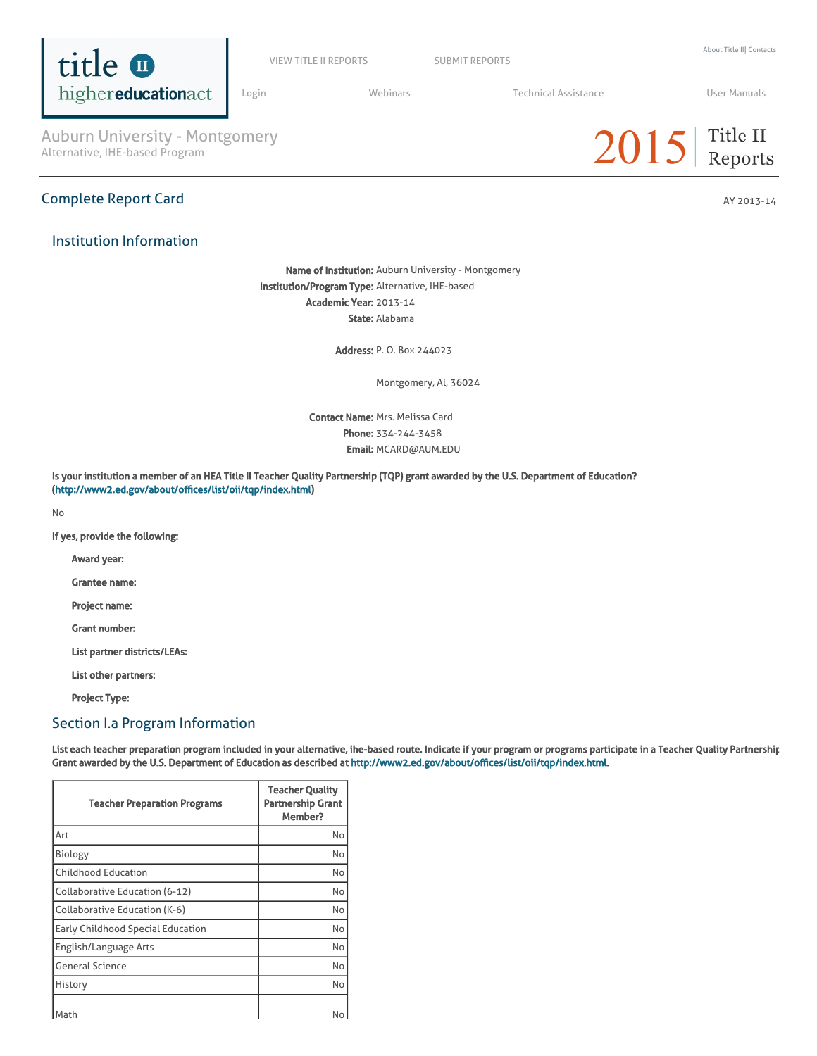

VIEW TITLE II [REPORTS](https://title2.ed.gov/Public/Login.aspx) SUBMIT REPORTS

[Login](https://title2.ed.gov/Public/Login.aspx) **Manual Medinars** Technical [Assistance](https://title2.ed.gov/Public/TA.aspx) **Technical Assistance** User [Manuals](https://title2.ed.gov/Public/Manuals.aspx)

Auburn University - Montgomery<br>Alternative, IHE-based Program

# Complete Report Card AY 2013-14

# Institution Information

Name of Institution: Auburn University - Montgomery

 $2015$  Title II

Institution/Program Type: Alternative, IHE-based Academic Year: 2013-14 State: Alabama

Address: P. O. Box 244023

Montgomery, Al, 36024

Contact Name: Mrs. Melissa Card Phone: 334-244-3458 Email: MCARD@AUM.EDU

Is your institution a member of an HEA Title II Teacher Quality Partnership (TQP) grant awarded by the U.S. Department of Education? (<http://www2.ed.gov/about/offices/list/oii/tqp/index.html>)

No

If yes, provide the following:

Award year:

Grantee name:

Project name:

Grant number:

List partner districts/LEAs:

List other partners:

Project Type:

## Section I.a Program Information

List each teacher preparation program included in your alternative, ihe-based route. Indicate if your program or programs participate in a Teacher Quality Partnership Grant awarded by the U.S. Department of Education as described at [http://www2.ed.gov/about/offices/list/oii/tqp/index.html.](http://www2.ed.gov/about/offices/list/oii/tqp/index.html)

| <b>Teacher Preparation Programs</b> | <b>Teacher Quality</b><br><b>Partnership Grant</b><br>Member? |
|-------------------------------------|---------------------------------------------------------------|
| Art                                 | No                                                            |
| Biology                             | No                                                            |
| <b>Childhood Education</b>          | No                                                            |
| Collaborative Education (6-12)      | No                                                            |
| Collaborative Education (K-6)       | No                                                            |
| Early Childhood Special Education   | No                                                            |
| English/Language Arts               | No                                                            |
| <b>General Science</b>              | No                                                            |
| History                             | No                                                            |
| Math                                | No                                                            |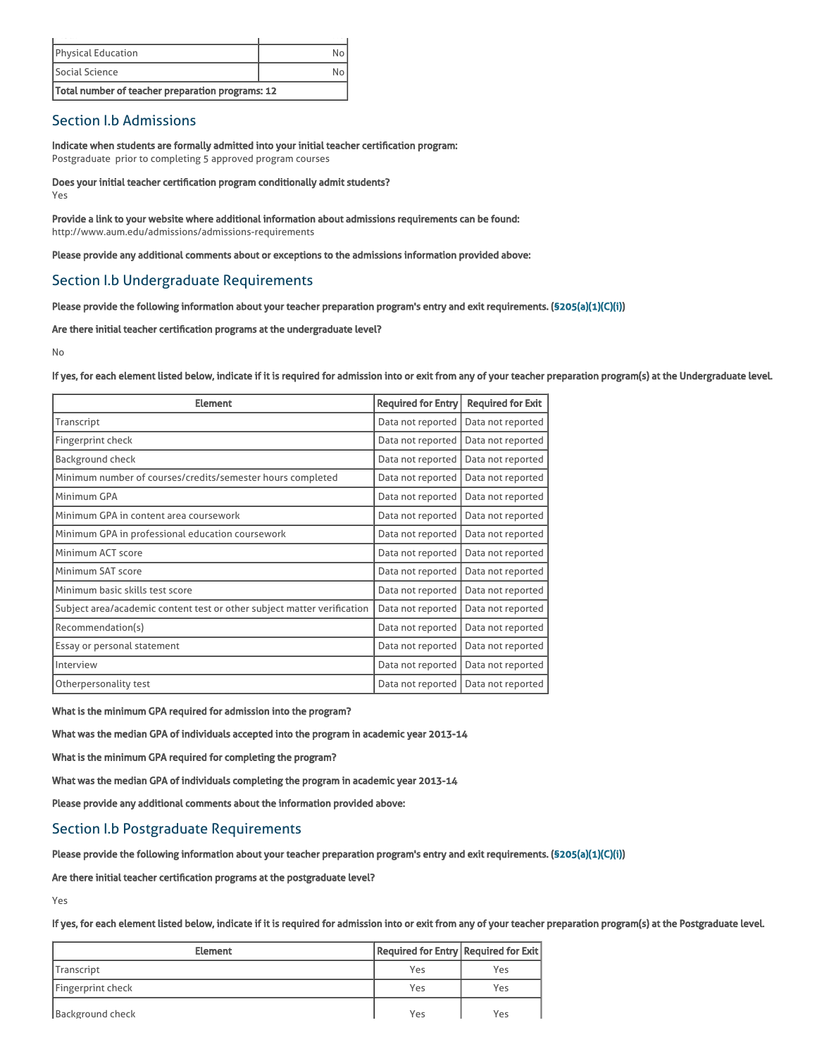| Total number of teacher preparation programs: 12 |  |
|--------------------------------------------------|--|
| Social Science                                   |  |
| <b>Physical Education</b>                        |  |
|                                                  |  |

## Section I.b Admissions

Indicate when students are formally admitted into your initial teacher certification program: Postgraduate prior to completing 5 approved program courses

Does your initial teacher certification program conditionally admit students? Yes

Provide a link to your website where additional information about admissions requirements can be found: http://www.aum.edu/admissions/admissions-requirements

Please provide any additional comments about or exceptions to the admissions information provided above:

## Section I.b Undergraduate Requirements

Please provide the following information about your teacher preparation program's entry and exit requirements. [\(§205\(a\)\(1\)\(C\)\(i\)](http://frwebgate.access.gpo.gov/cgi-bin/getdoc.cgi?dbname=110_cong_public_laws&docid=f:publ315.110.pdf))

Are there initial teacher certification programs at the undergraduate level?

No

If yes, for each element listed below, indicate if it is required for admission into or exit from any of your teacher preparation program(s) at the Undergraduate level.

| <b>Element</b>                                                          | <b>Required for Entry</b> | <b>Required for Exit</b> |
|-------------------------------------------------------------------------|---------------------------|--------------------------|
| Transcript                                                              | Data not reported         | Data not reported        |
| Fingerprint check                                                       | Data not reported         | Data not reported        |
| <b>Background check</b>                                                 | Data not reported         | Data not reported        |
| Minimum number of courses/credits/semester hours completed              | Data not reported         | Data not reported        |
| Minimum GPA                                                             | Data not reported         | Data not reported        |
| Minimum GPA in content area coursework                                  | Data not reported         | Data not reported        |
| Minimum GPA in professional education coursework                        | Data not reported         | Data not reported        |
| Minimum ACT score                                                       | Data not reported         | Data not reported        |
| Minimum SAT score                                                       | Data not reported         | Data not reported        |
| Minimum basic skills test score                                         | Data not reported         | Data not reported        |
| Subject area/academic content test or other subject matter verification | Data not reported         | Data not reported        |
| Recommendation(s)                                                       | Data not reported         | Data not reported        |
| Essay or personal statement                                             | Data not reported         | Data not reported        |
| Interview                                                               | Data not reported         | Data not reported        |
| Otherpersonality test                                                   | Data not reported         | Data not reported        |

What is the minimum GPA required for admission into the program?

What was the median GPA of individuals accepted into the program in academic year 2013-14

What is the minimum GPA required for completing the program?

What was the median GPA of individuals completing the program in academic year 2013-14

Please provide any additional comments about the information provided above:

# Section I.b Postgraduate Requirements

Please provide the following information about your teacher preparation program's entry and exit requirements. [\(§205\(a\)\(1\)\(C\)\(i\)](http://frwebgate.access.gpo.gov/cgi-bin/getdoc.cgi?dbname=110_cong_public_laws&docid=f:publ315.110.pdf))

Are there initial teacher certification programs at the postgraduate level?

Yes

If yes, for each element listed below, indicate if it is required for admission into or exit from any of your teacher preparation program(s) at the Postgraduate level.

| <b>Element</b>    | Required for Entry Required for Exit |     |
|-------------------|--------------------------------------|-----|
| Transcript        | Yes                                  | Yes |
| Fingerprint check | Yes                                  | Yes |
| Background check  | Yes                                  | Yes |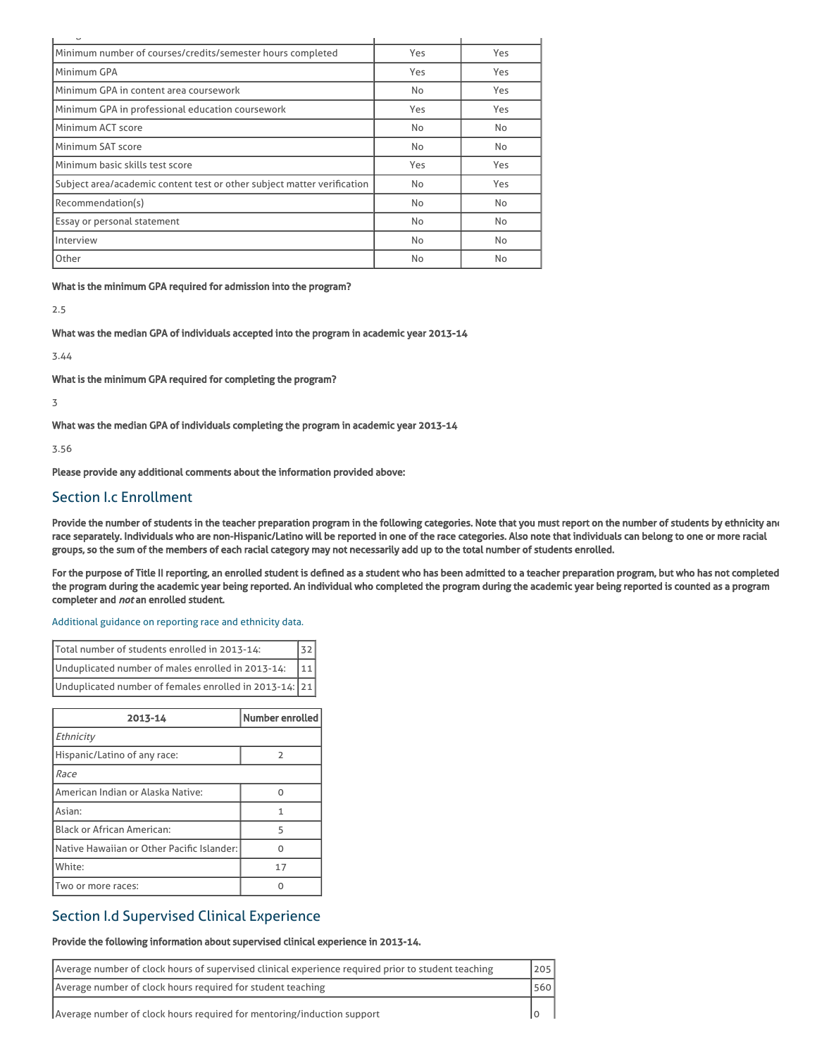| Minimum number of courses/credits/semester hours completed              | Yes | Yes |
|-------------------------------------------------------------------------|-----|-----|
| Minimum GPA                                                             | Yes | Yes |
| Minimum GPA in content area coursework                                  | No  | Yes |
| Minimum GPA in professional education coursework                        | Yes | Yes |
| Minimum ACT score                                                       | No  | No  |
| Minimum SAT score                                                       | No  | No  |
| Minimum basic skills test score                                         | Yes | Yes |
| Subject area/academic content test or other subject matter verification | No  | Yes |
| Recommendation(s)                                                       | No  | No  |
| Essay or personal statement                                             | No  | No  |
| Interview                                                               | No  | No  |
| Other                                                                   | No  | No  |

What is the minimum GPA required for admission into the program?

2.5

What was the median GPA of individuals accepted into the program in academic year 2013-14

3.44

What is the minimum GPA required for completing the program?

3

What was the median GPA of individuals completing the program in academic year 2013-14

3.56

Please provide any additional comments about the information provided above:

## Section I.c Enrollment

Provide the number of students in the teacher preparation program in the following categories. Note that you must report on the number of students by ethnicity and race separately. Individuals who are non-Hispanic/Latino will be reported in one of the race categories. Also note that individuals can belong to one or more racial groups, so the sum of the members of each racial category may not necessarily add up to the total number of students enrolled.

For the purpose of Title II reporting, an enrolled student is defined as a student who has been admitted to a teacher preparation program, but who has not completed the program during the academic year being reported. An individual who completed the program during the academic year being reported is counted as a program completer and not an enrolled student.

[Additional](https://title2.ed.gov/Public/TA/Race_ethnicity.pdf) guidance on reporting race and ethnicity data.

| Total number of students enrolled in 2013-14:          |       |
|--------------------------------------------------------|-------|
| Unduplicated number of males enrolled in 2013-14:      | $111$ |
| Unduplicated number of females enrolled in 2013-14: 21 |       |

| 2013-14                                    | Number enrolled |
|--------------------------------------------|-----------------|
| Ethnicity                                  |                 |
| Hispanic/Latino of any race:               | 2               |
| Race                                       |                 |
| American Indian or Alaska Native:          | U               |
| Asian:                                     |                 |
| <b>Black or African American:</b>          | 5               |
| Native Hawaiian or Other Pacific Islander: |                 |
| White:                                     | 17              |
| Two or more races:                         |                 |

# Section I.d Supervised Clinical Experience

#### Provide the following information about supervised clinical experience in 2013-14.

| Average number of clock hours of supervised clinical experience required prior to student teaching | 205 |
|----------------------------------------------------------------------------------------------------|-----|
| Average number of clock hours required for student teaching                                        | 560 |
| Average number of clock hours required for mentoring/induction support                             |     |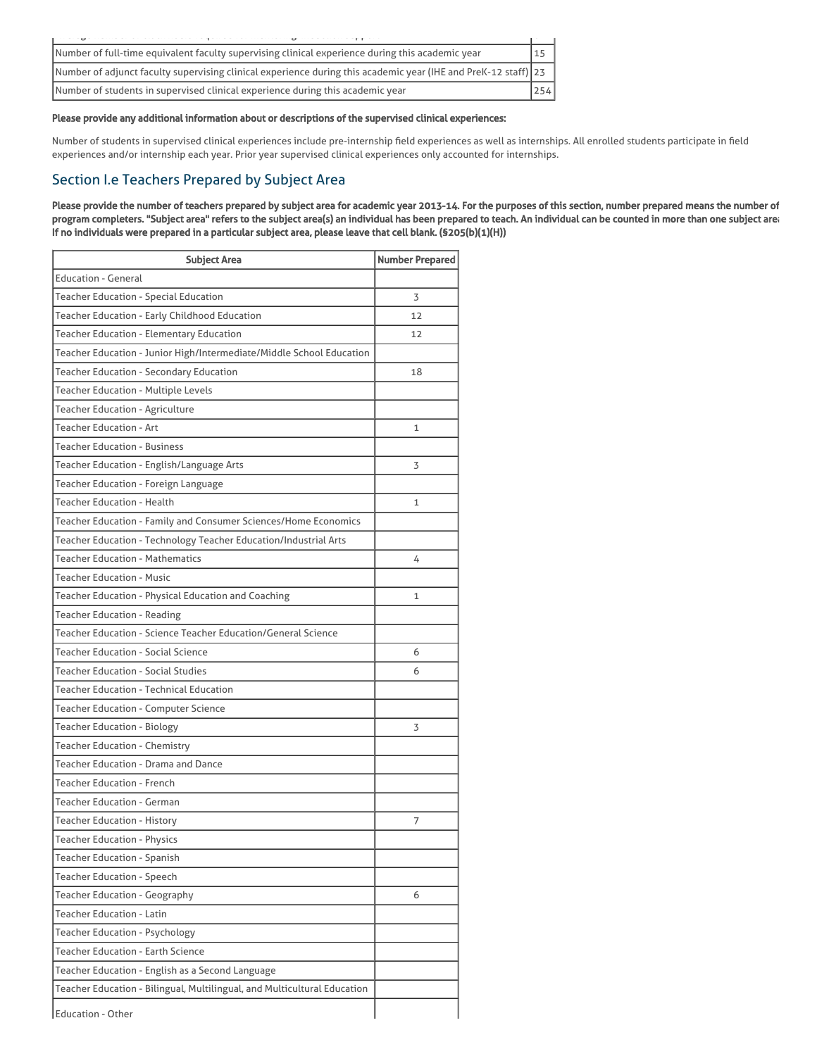|                                                                                | $\overline{\phantom{a}}$ |                                                                                                                |     |
|--------------------------------------------------------------------------------|--------------------------|----------------------------------------------------------------------------------------------------------------|-----|
|                                                                                |                          | Number of full-time equivalent faculty supervising clinical experience during this academic year               | 15  |
|                                                                                |                          | Number of adjunct faculty supervising clinical experience during this academic year (IHE and PreK-12 staff) 23 |     |
| Number of students in supervised clinical experience during this academic year |                          |                                                                                                                | 254 |

#### Please provide any additional information about or descriptions of the supervised clinical experiences:

Number of students in supervised clinical experiences include pre-internship field experiences as well as internships. All enrolled students participate in field experiences and/or internship each year. Prior year supervised clinical experiences only accounted for internships.

# Section I.e Teachers Prepared by Subject Area

Please provide the number of teachers prepared by subject area for academic year 2013-14. For the purposes of this section, number prepared means the number of program completers. "Subject area" refers to the subject area(s) an individual has been prepared to teach. An individual can be counted in more than one subject area. If no individuals were prepared in a particular subject area, please leave that cell blank. (§205(b)(1)(H))

| <b>Subject Area</b>                                                      | <b>Number Prepared</b> |
|--------------------------------------------------------------------------|------------------------|
| <b>Education - General</b>                                               |                        |
| Teacher Education - Special Education                                    | 3                      |
| Teacher Education - Early Childhood Education                            | 12                     |
| Teacher Education - Elementary Education                                 | 12                     |
| Teacher Education - Junior High/Intermediate/Middle School Education     |                        |
| Teacher Education - Secondary Education                                  | 18                     |
| Teacher Education - Multiple Levels                                      |                        |
| <b>Teacher Education - Agriculture</b>                                   |                        |
| <b>Teacher Education - Art</b>                                           | 1                      |
| Teacher Education - Business                                             |                        |
| Teacher Education - English/Language Arts                                | 3                      |
| Teacher Education - Foreign Language                                     |                        |
| Teacher Education - Health                                               | 1                      |
| Teacher Education - Family and Consumer Sciences/Home Economics          |                        |
| Teacher Education - Technology Teacher Education/Industrial Arts         |                        |
| <b>Teacher Education - Mathematics</b>                                   | 4                      |
| Teacher Education - Music                                                |                        |
| Teacher Education - Physical Education and Coaching                      | 1                      |
| Teacher Education - Reading                                              |                        |
| Teacher Education - Science Teacher Education/General Science            |                        |
| <b>Teacher Education - Social Science</b>                                | 6                      |
| Teacher Education - Social Studies                                       | 6                      |
| Teacher Education - Technical Education                                  |                        |
| Teacher Education - Computer Science                                     |                        |
| Teacher Education - Biology                                              | 3                      |
| Teacher Education - Chemistry                                            |                        |
| <b>Teacher Education - Drama and Dance</b>                               |                        |
| <b>Teacher Education - French</b>                                        |                        |
| <b>Teacher Education - German</b>                                        |                        |
| <b>Teacher Education - History</b>                                       | 7                      |
| <b>Teacher Education - Physics</b>                                       |                        |
| <b>Teacher Education - Spanish</b>                                       |                        |
| <b>Teacher Education - Speech</b>                                        |                        |
| Teacher Education - Geography                                            | 6                      |
| <b>Teacher Education - Latin</b>                                         |                        |
| <b>Teacher Education - Psychology</b>                                    |                        |
| <b>Teacher Education - Earth Science</b>                                 |                        |
| Teacher Education - English as a Second Language                         |                        |
| Teacher Education - Bilingual, Multilingual, and Multicultural Education |                        |
| <b>Education - Other</b>                                                 |                        |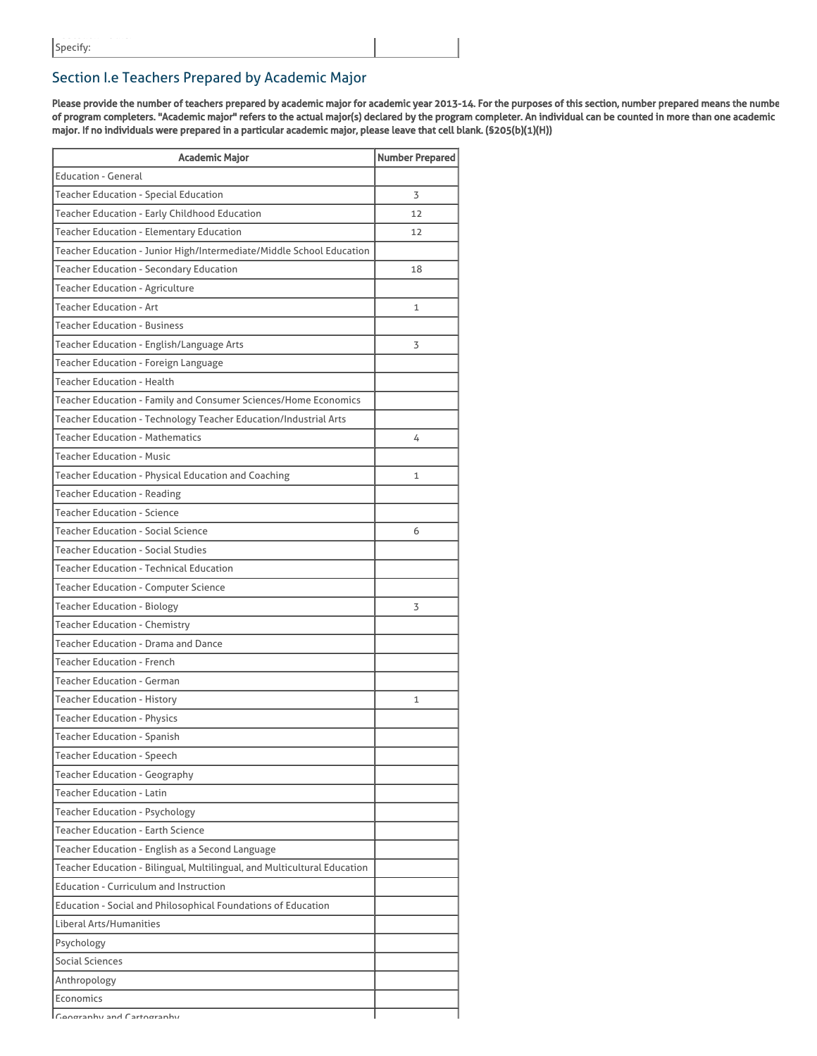# Section I.e Teachers Prepared by Academic Major

Please provide the number of teachers prepared by academic major for academic year 2013-14. For the purposes of this section, number prepared means the numbe of program completers. "Academic major" refers to the actual major(s) declared by the program completer. An individual can be counted in more than one academic major. If no individuals were prepared in a particular academic major, please leave that cell blank. (§205(b)(1)(H))

| <b>Academic Major</b>                                                    | <b>Number Prepared</b> |
|--------------------------------------------------------------------------|------------------------|
| <b>Education - General</b>                                               |                        |
| Teacher Education - Special Education                                    | 3                      |
| Teacher Education - Early Childhood Education                            | 12                     |
| Teacher Education - Elementary Education                                 | 12                     |
| Teacher Education - Junior High/Intermediate/Middle School Education     |                        |
| Teacher Education - Secondary Education                                  | 18                     |
| <b>Teacher Education - Agriculture</b>                                   |                        |
| <b>Teacher Education - Art</b>                                           | 1                      |
| <b>Teacher Education - Business</b>                                      |                        |
| Teacher Education - English/Language Arts                                | 3                      |
| Teacher Education - Foreign Language                                     |                        |
| <b>Teacher Education - Health</b>                                        |                        |
| Teacher Education - Family and Consumer Sciences/Home Economics          |                        |
| Teacher Education - Technology Teacher Education/Industrial Arts         |                        |
| <b>Teacher Education - Mathematics</b>                                   | 4                      |
| <b>Teacher Education - Music</b>                                         |                        |
| Teacher Education - Physical Education and Coaching                      | $\mathbf{1}$           |
| <b>Teacher Education - Reading</b>                                       |                        |
| <b>Teacher Education - Science</b>                                       |                        |
| <b>Teacher Education - Social Science</b>                                | 6                      |
| <b>Teacher Education - Social Studies</b>                                |                        |
| Teacher Education - Technical Education                                  |                        |
| Teacher Education - Computer Science                                     |                        |
| <b>Teacher Education - Biology</b>                                       | 3                      |
| Teacher Education - Chemistry                                            |                        |
| Teacher Education - Drama and Dance                                      |                        |
| <b>Teacher Education - French</b>                                        |                        |
| <b>Teacher Education - German</b>                                        |                        |
| Teacher Education - History                                              | $\mathbf{1}$           |
| <b>Teacher Education - Physics</b>                                       |                        |
| Teacher Education - Spanish                                              |                        |
| <b>Teacher Education - Speech</b>                                        |                        |
| <b>Teacher Education - Geography</b>                                     |                        |
| <b>Teacher Education - Latin</b>                                         |                        |
| <b>Teacher Education - Psychology</b>                                    |                        |
| <b>Teacher Education - Earth Science</b>                                 |                        |
| Teacher Education - English as a Second Language                         |                        |
| Teacher Education - Bilingual, Multilingual, and Multicultural Education |                        |
| <b>Education - Curriculum and Instruction</b>                            |                        |
| Education - Social and Philosophical Foundations of Education            |                        |
| Liberal Arts/Humanities                                                  |                        |
| Psychology                                                               |                        |
| Social Sciences                                                          |                        |
| Anthropology                                                             |                        |
| Economics                                                                |                        |
| Congraphy and Cartography                                                |                        |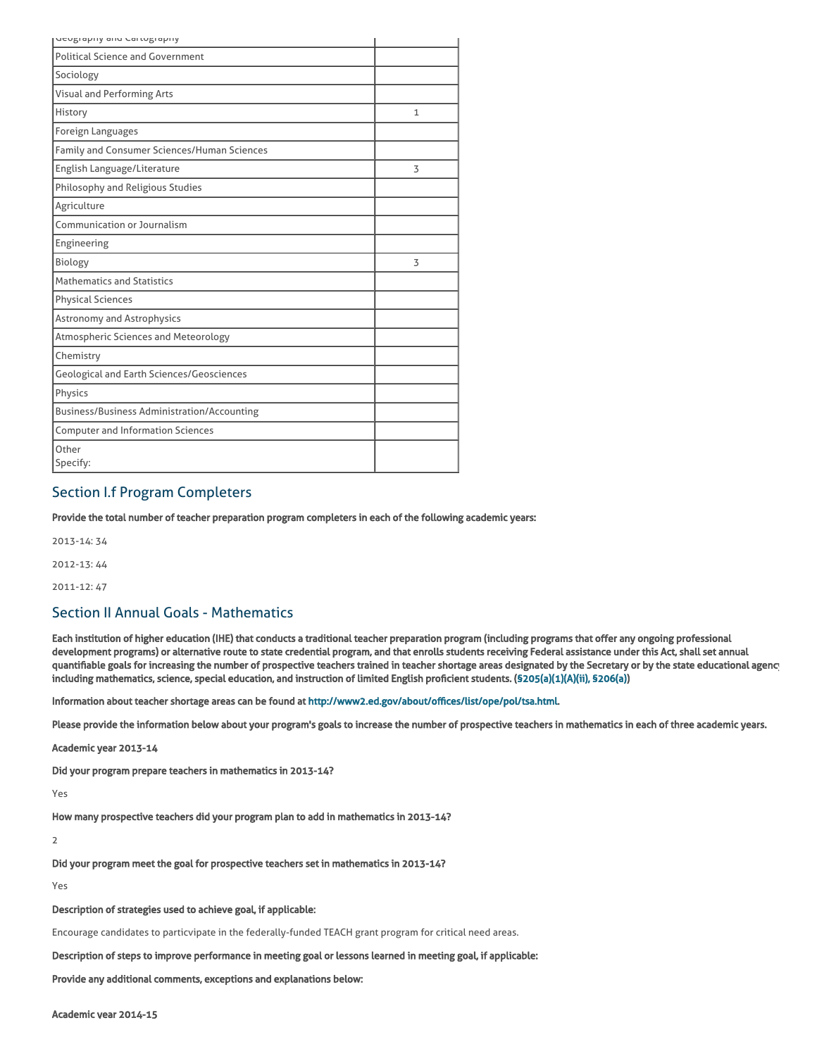| denkiahiin alin raimatiahiin                       |   |
|----------------------------------------------------|---|
| <b>Political Science and Government</b>            |   |
| Sociology                                          |   |
| <b>Visual and Performing Arts</b>                  |   |
| History                                            | 1 |
| Foreign Languages                                  |   |
| Family and Consumer Sciences/Human Sciences        |   |
| English Language/Literature                        | 3 |
| Philosophy and Religious Studies                   |   |
| Agriculture                                        |   |
| Communication or Journalism                        |   |
| Engineering                                        |   |
| Biology                                            | 3 |
| <b>Mathematics and Statistics</b>                  |   |
| <b>Physical Sciences</b>                           |   |
| Astronomy and Astrophysics                         |   |
| Atmospheric Sciences and Meteorology               |   |
| Chemistry                                          |   |
| <b>Geological and Earth Sciences/Geosciences</b>   |   |
| Physics                                            |   |
| <b>Business/Business Administration/Accounting</b> |   |
| <b>Computer and Information Sciences</b>           |   |
| Other<br>Specify:                                  |   |

# Section I.f Program Completers

Provide the total number of teacher preparation program completers in each of the following academic years:

2013-14: 34

2012-13: 44

2011-12: 47

## Section II Annual Goals - Mathematics

Each institution of higher education (IHE) that conducts a traditional teacher preparation program (including programs that offer any ongoing professional development programs) or alternative route to state credential program, and that enrolls students receiving Federal assistance under this Act, shall set annual quantifiable goals for increasing the number of prospective teachers trained in teacher shortage areas designated by the Secretary or by the state educational agency including mathematics, science, special education, and instruction of limited English proficient students. ([§205\(a\)\(1\)\(A\)\(ii\), §206\(a\)\)](http://frwebgate.access.gpo.gov/cgi-bin/getdoc.cgi?dbname=110_cong_public_laws&docid=f:publ315.110.pdf)

Information about teacher shortage areas can be found at [http://www2.ed.gov/about/offices/list/ope/pol/tsa.html.](http://www2.ed.gov/about/offices/list/ope/pol/tsa.html)

Please provide the information below about your program's goals to increase the number of prospective teachers in mathematics in each of three academic years.

Academic year 2013-14

Did your program prepare teachers in mathematics in 2013-14?

Yes

How many prospective teachers did your program plan to add in mathematics in 2013-14?

2

Did your program meet the goal for prospective teachers set in mathematics in 2013-14?

Yes

Description of strategies used to achieve goal, if applicable:

Encourage candidates to particvipate in the federally-funded TEACH grant program for critical need areas.

Description of steps to improve performance in meeting goal or lessons learned in meeting goal, if applicable:

Provide any additional comments, exceptions and explanations below: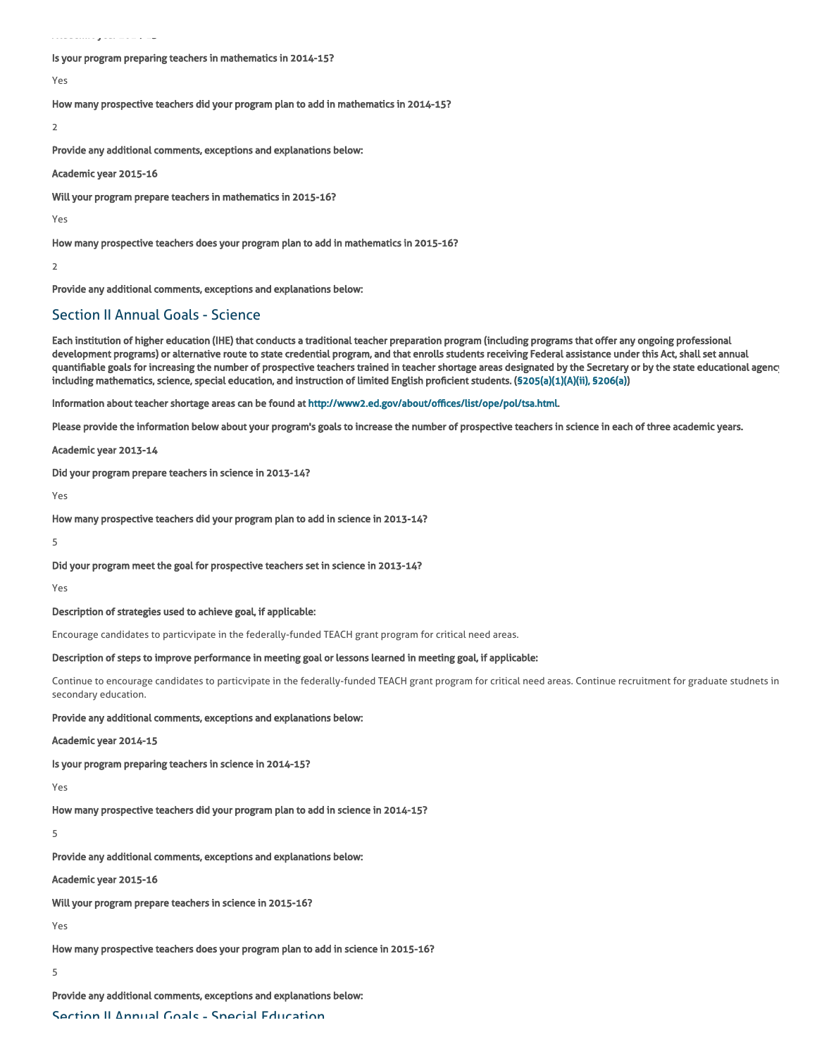Academic year 2014-15

#### Is your program preparing teachers in mathematics in 2014-15?

Yes

How many prospective teachers did your program plan to add in mathematics in 2014-15?

2

Provide any additional comments, exceptions and explanations below:

Academic year 2015-16

Will your program prepare teachers in mathematics in 2015-16?

Yes

How many prospective teachers does your program plan to add in mathematics in 2015-16?

2

Provide any additional comments, exceptions and explanations below:

## Section II Annual Goals - Science

Each institution of higher education (IHE) that conducts a traditional teacher preparation program (including programs that offer any ongoing professional development programs) or alternative route to state credential program, and that enrolls students receiving Federal assistance under this Act, shall set annual quantifiable goals for increasing the number of prospective teachers trained in teacher shortage areas designated by the Secretary or by the state educational agency including mathematics, science, special education, and instruction of limited English proficient students. ([§205\(a\)\(1\)\(A\)\(ii\), §206\(a\)\)](http://frwebgate.access.gpo.gov/cgi-bin/getdoc.cgi?dbname=110_cong_public_laws&docid=f:publ315.110.pdf)

Information about teacher shortage areas can be found at [http://www2.ed.gov/about/offices/list/ope/pol/tsa.html.](http://www2.ed.gov/about/offices/list/ope/pol/tsa.html)

Please provide the information below about your program's goals to increase the number of prospective teachers in science in each of three academic years.

Academic year 2013-14

Did your program prepare teachers in science in 2013-14?

Yes

How many prospective teachers did your program plan to add in science in 2013-14?

5

Did your program meet the goal for prospective teachers set in science in 2013-14?

Yes

#### Description of strategies used to achieve goal, if applicable:

Encourage candidates to particvipate in the federally-funded TEACH grant program for critical need areas.

#### Description of steps to improve performance in meeting goal or lessons learned in meeting goal, if applicable:

Continue to encourage candidates to particvipate in the federally-funded TEACH grant program for critical need areas. Continue recruitment for graduate studnets in secondary education.

#### Provide any additional comments, exceptions and explanations below:

Academic year 2014-15

Is your program preparing teachers in science in 2014-15?

Yes

How many prospective teachers did your program plan to add in science in 2014-15?

5

Provide any additional comments, exceptions and explanations below:

Academic year 2015-16

Will your program prepare teachers in science in 2015-16?

Yes

How many prospective teachers does your program plan to add in science in 2015-16?

5

Provide any additional comments, exceptions and explanations below: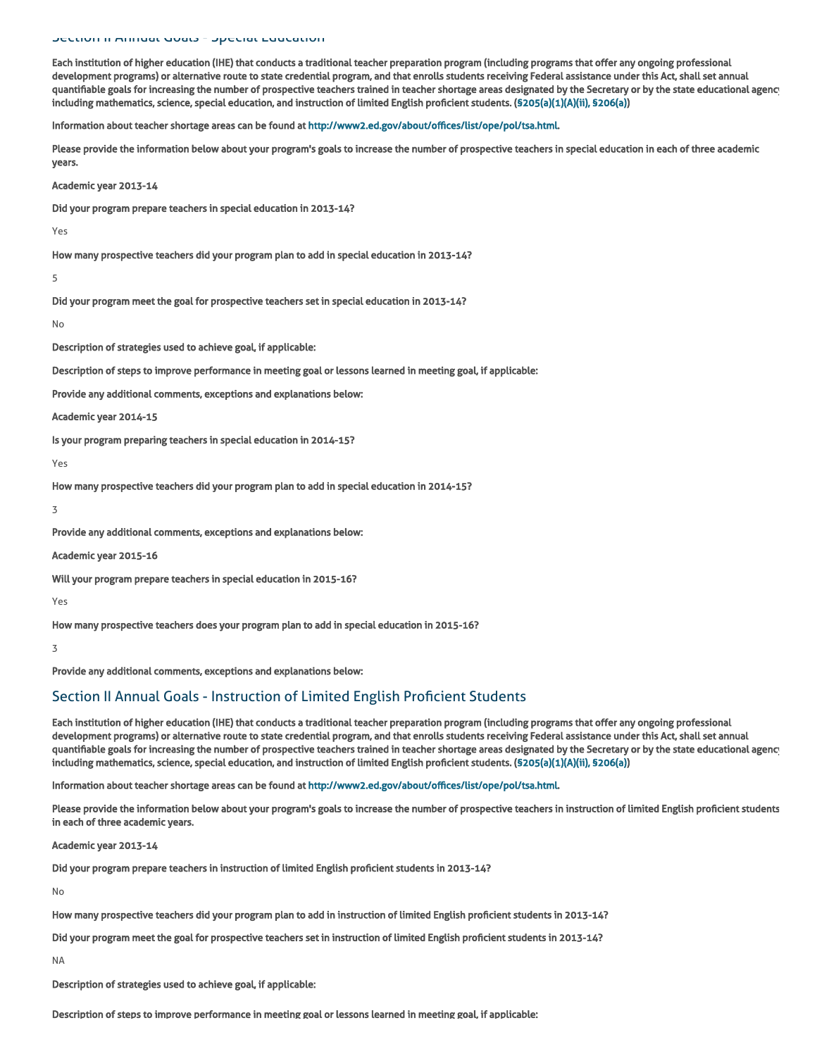#### Section II Annual Goals - Special Education

Each institution of higher education (IHE) that conducts a traditional teacher preparation program (including programs that offer any ongoing professional development programs) or alternative route to state credential program, and that enrolls students receiving Federal assistance under this Act, shall set annual quantifiable goals for increasing the number of prospective teachers trained in teacher shortage areas designated by the Secretary or by the state educational agency including mathematics, science, special education, and instruction of limited English proficient students. ([§205\(a\)\(1\)\(A\)\(ii\), §206\(a\)\)](http://frwebgate.access.gpo.gov/cgi-bin/getdoc.cgi?dbname=110_cong_public_laws&docid=f:publ315.110.pdf)

Information about teacher shortage areas can be found at [http://www2.ed.gov/about/offices/list/ope/pol/tsa.html.](http://www2.ed.gov/about/offices/list/ope/pol/tsa.html)

Please provide the information below about your program's goals to increase the number of prospective teachers in special education in each of three academic years.

Academic year 2013-14

Did your program prepare teachers in special education in 2013-14?

Yes

How many prospective teachers did your program plan to add in special education in 2013-14?

5

Did your program meet the goal for prospective teachers set in special education in 2013-14?

No

Description of strategies used to achieve goal, if applicable:

Description of steps to improve performance in meeting goal or lessons learned in meeting goal, if applicable:

Provide any additional comments, exceptions and explanations below:

Academic year 2014-15

Is your program preparing teachers in special education in 2014-15?

Yes

How many prospective teachers did your program plan to add in special education in 2014-15?

3

Provide any additional comments, exceptions and explanations below:

Academic year 2015-16

Will your program prepare teachers in special education in 2015-16?

Yes

How many prospective teachers does your program plan to add in special education in 2015-16?

3

Provide any additional comments, exceptions and explanations below:

## Section II Annual Goals - Instruction of Limited English Proficient Students

Each institution of higher education (IHE) that conducts a traditional teacher preparation program (including programs that offer any ongoing professional development programs) or alternative route to state credential program, and that enrolls students receiving Federal assistance under this Act, shall set annual quantifiable goals for increasing the number of prospective teachers trained in teacher shortage areas designated by the Secretary or by the state educational agency including mathematics, science, special education, and instruction of limited English proficient students. ([§205\(a\)\(1\)\(A\)\(ii\), §206\(a\)\)](http://frwebgate.access.gpo.gov/cgi-bin/getdoc.cgi?dbname=110_cong_public_laws&docid=f:publ315.110.pdf)

Information about teacher shortage areas can be found at [http://www2.ed.gov/about/offices/list/ope/pol/tsa.html.](http://www2.ed.gov/about/offices/list/ope/pol/tsa.html)

Please provide the information below about your program's goals to increase the number of prospective teachers in instruction of limited English proficient students in each of three academic years.

Academic year 2013-14

Did your program prepare teachers in instruction of limited English proficient students in 2013-14?

No

How many prospective teachers did your program plan to add in instruction of limited English proficient students in 2013-14?

Did your program meet the goal for prospective teachers set in instruction of limited English proficient students in 2013-14?

NA

Description of strategies used to achieve goal, if applicable:

Description of steps to improve performance in meeting goal or lessons learned in meeting goal, if applicable: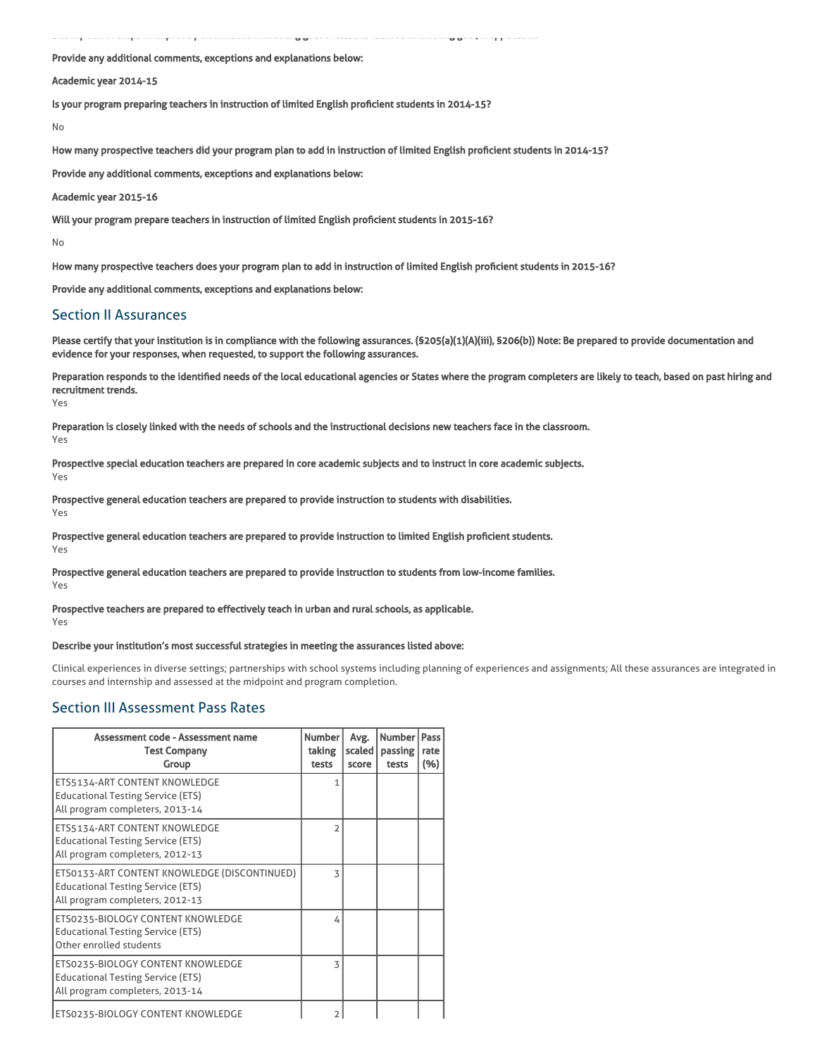Description of steps to improve performance in meeting goal or lessons learned in meeting goal, if applicable:

Provide any additional comments, exceptions and explanations below:

Academic year 2014-15

Is your program preparing teachers in instruction of limited English proficient students in 2014-15?

No

How many prospective teachers did your program plan to add in instruction of limited English proficient students in 2014-15?

Provide any additional comments, exceptions and explanations below:

Academic year 2015-16

Will your program prepare teachers in instruction of limited English proficient students in 2015-16?

No

How many prospective teachers does your program plan to add in instruction of limited English proficient students in 2015-16?

Provide any additional comments, exceptions and explanations below:

## Section II Assurances

Please certify that your institution is in compliance with the following assurances. (\$205(a)(1)(A)(iii), \$206(b)) Note: Be prepared to provide documentation and evidence for your responses, when requested, to support the following assurances.

Preparation responds to the identified needs of the local educational agencies or States where the program completers are likely to teach, based on past hiring and recruitment trends.

Yes

Yes

Preparation is closely linked with the needs of schools and the instructional decisions new teachers face in the classroom. Yes

Prospective special education teachers are prepared in core academic subjects and to instruct in core academic subjects.

Prospective general education teachers are prepared to provide instruction to students with disabilities. Yes

Prospective general education teachers are prepared to provide instruction to limited English proficient students. Yes

Prospective general education teachers are prepared to provide instruction to students from low-income families.

Yes

#### Prospective teachers are prepared to effectively teach in urban and rural schools, as applicable. Yes

#### Describe your institution's most successful strategies in meeting the assurances listed above:

Clinical experiences in diverse settings; partnerships with school systems including planning of experiences and assignments; All these assurances are integrated in courses and internship and assessed at the midpoint and program completion.

## Section III Assessment Pass Rates

| Assessment code - Assessment name<br><b>Test Company</b><br>Group                                                           | <b>Number</b><br>taking<br>tests | Avg.<br>scaled  <br>score | <b>Number</b><br>passing<br>tests | Pass<br>rate<br>(%) |
|-----------------------------------------------------------------------------------------------------------------------------|----------------------------------|---------------------------|-----------------------------------|---------------------|
| ETS5134-ART CONTENT KNOWLEDGE<br><b>Educational Testing Service (ETS)</b><br>All program completers, 2013-14                | 1                                |                           |                                   |                     |
| ETS5134-ART CONTENT KNOWLEDGE<br><b>Educational Testing Service (ETS)</b><br>All program completers, 2012-13                | $\overline{2}$                   |                           |                                   |                     |
| ETS0133-ART CONTENT KNOWLEDGE (DISCONTINUED)<br><b>Educational Testing Service (ETS)</b><br>All program completers, 2012-13 | 3                                |                           |                                   |                     |
| ETS0235-BIOLOGY CONTENT KNOWLEDGE<br><b>Educational Testing Service (ETS)</b><br>Other enrolled students                    | 4                                |                           |                                   |                     |
| ETS0235-BIOLOGY CONTENT KNOWLEDGE<br><b>Educational Testing Service (ETS)</b><br>All program completers, 2013-14            | 3                                |                           |                                   |                     |
| ETS0235-BIOLOGY CONTENT KNOWLEDGE                                                                                           |                                  |                           |                                   |                     |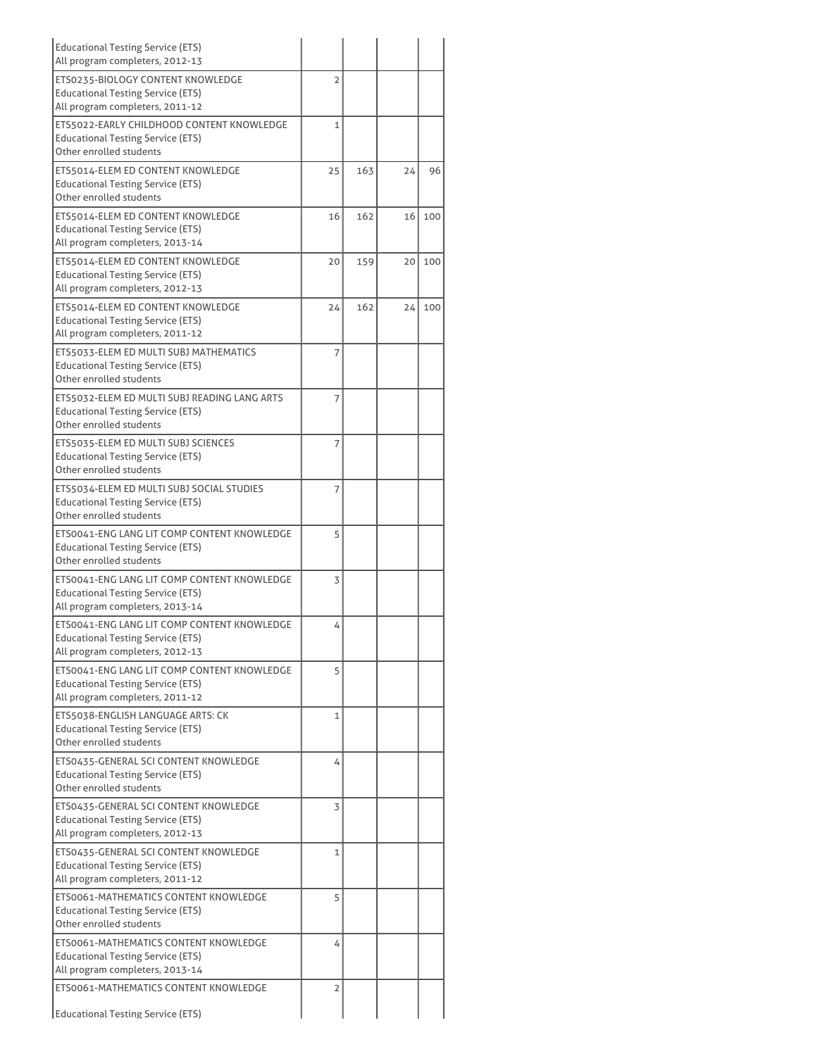| <b>Educational Testing Service (ETS)</b><br>All program completers, 2012-13                                                |    |     |    |     |
|----------------------------------------------------------------------------------------------------------------------------|----|-----|----|-----|
| ETS0235-BIOLOGY CONTENT KNOWLEDGE<br><b>Educational Testing Service (ETS)</b><br>All program completers, 2011-12           | 2  |     |    |     |
| ETS5022-EARLY CHILDHOOD CONTENT KNOWLEDGE<br><b>Educational Testing Service (ETS)</b><br>Other enrolled students           | 1  |     |    |     |
| ETS5014-ELEM ED CONTENT KNOWLEDGE<br><b>Educational Testing Service (ETS)</b><br>Other enrolled students                   | 25 | 163 | 24 | 96  |
| ETS5014-ELEM ED CONTENT KNOWLEDGE<br><b>Educational Testing Service (ETS)</b><br>All program completers, 2013-14           | 16 | 162 | 16 | 100 |
| ETS5014-ELEM ED CONTENT KNOWLEDGE<br><b>Educational Testing Service (ETS)</b><br>All program completers, 2012-13           | 20 | 159 | 20 | 100 |
| ETS5014-ELEM ED CONTENT KNOWLEDGE<br><b>Educational Testing Service (ETS)</b><br>All program completers, 2011-12           | 24 | 162 | 24 | 100 |
| ETS5033-ELEM ED MULTI SUBJ MATHEMATICS<br><b>Educational Testing Service (ETS)</b><br>Other enrolled students              | 7  |     |    |     |
| ETS5032-ELEM ED MULTI SUBJ READING LANG ARTS<br>Educational Testing Service (ETS)<br>Other enrolled students               | 7  |     |    |     |
| ETS5035-ELEM ED MULTI SUBJ SCIENCES<br><b>Educational Testing Service (ETS)</b><br>Other enrolled students                 | 7  |     |    |     |
| ETS5034-ELEM ED MULTI SUBJ SOCIAL STUDIES<br><b>Educational Testing Service (ETS)</b><br>Other enrolled students           | 7  |     |    |     |
| ETS0041-ENG LANG LIT COMP CONTENT KNOWLEDGE<br><b>Educational Testing Service (ETS)</b><br>Other enrolled students         | 5  |     |    |     |
| ETS0041-ENG LANG LIT COMP CONTENT KNOWLEDGE<br><b>Educational Testing Service (ETS)</b><br>All program completers, 2013-14 | 3  |     |    |     |
| ETS0041-ENG LANG LIT COMP CONTENT KNOWLEDGE<br><b>Educational Testing Service (ETS)</b><br>All program completers, 2012-13 | 4  |     |    |     |
| ETS0041-ENG LANG LIT COMP CONTENT KNOWLEDGE<br><b>Educational Testing Service (ETS)</b><br>All program completers, 2011-12 | 5  |     |    |     |
| ETS5038-ENGLISH LANGUAGE ARTS: CK<br><b>Educational Testing Service (ETS)</b><br>Other enrolled students                   | 1  |     |    |     |
| ETS0435-GENERAL SCI CONTENT KNOWLEDGE<br><b>Educational Testing Service (ETS)</b><br>Other enrolled students               | 4  |     |    |     |
| ETS0435-GENERAL SCI CONTENT KNOWLEDGE<br>Educational Testing Service (ETS)<br>All program completers, 2012-13              | 3  |     |    |     |
| ETS0435-GENERAL SCI CONTENT KNOWLEDGE<br><b>Educational Testing Service (ETS)</b><br>All program completers, 2011-12       | 1  |     |    |     |
| ETS0061-MATHEMATICS CONTENT KNOWLEDGE<br>Educational Testing Service (ETS)<br>Other enrolled students                      | 5  |     |    |     |
| ETS0061-MATHEMATICS CONTENT KNOWLEDGE<br><b>Educational Testing Service (ETS)</b><br>All program completers, 2013-14       | 4  |     |    |     |
| ETS0061-MATHEMATICS CONTENT KNOWLEDGE<br>Educational Testing Service (ETS)                                                 | 2  |     |    |     |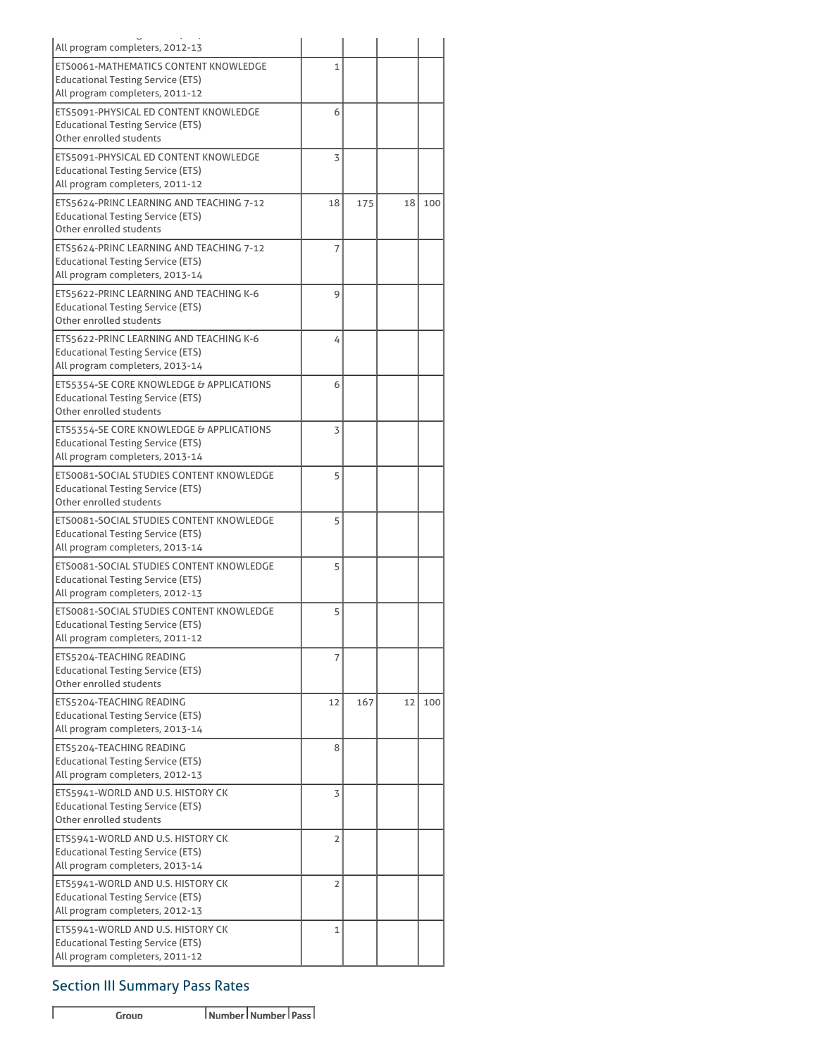| All program completers, 2012-13          |                |     |    |     |
|------------------------------------------|----------------|-----|----|-----|
| ETS0061-MATHEMATICS CONTENT KNOWLEDGE    | 1              |     |    |     |
| <b>Educational Testing Service (ETS)</b> |                |     |    |     |
| All program completers, 2011-12          |                |     |    |     |
| ETS5091-PHYSICAL ED CONTENT KNOWLEDGE    | 6              |     |    |     |
| <b>Educational Testing Service (ETS)</b> |                |     |    |     |
| Other enrolled students                  |                |     |    |     |
| ETS5091-PHYSICAL ED CONTENT KNOWLEDGE    | 3              |     |    |     |
| <b>Educational Testing Service (ETS)</b> |                |     |    |     |
| All program completers, 2011-12          |                |     |    |     |
| ETS5624-PRINC LEARNING AND TEACHING 7-12 | 18             | 175 | 18 | 100 |
| <b>Educational Testing Service (ETS)</b> |                |     |    |     |
| Other enrolled students                  |                |     |    |     |
| ETS5624-PRINC LEARNING AND TEACHING 7-12 | 7              |     |    |     |
| <b>Educational Testing Service (ETS)</b> |                |     |    |     |
| All program completers, 2013-14          |                |     |    |     |
| ETS5622-PRINC LEARNING AND TEACHING K-6  | 9              |     |    |     |
| <b>Educational Testing Service (ETS)</b> |                |     |    |     |
| Other enrolled students                  |                |     |    |     |
| ETS5622-PRINC LEARNING AND TEACHING K-6  | 4              |     |    |     |
| <b>Educational Testing Service (ETS)</b> |                |     |    |     |
| All program completers, 2013-14          |                |     |    |     |
| ETS5354-SE CORE KNOWLEDGE & APPLICATIONS | 6              |     |    |     |
| <b>Educational Testing Service (ETS)</b> |                |     |    |     |
| Other enrolled students                  |                |     |    |     |
| ETS5354-SE CORE KNOWLEDGE & APPLICATIONS | 3              |     |    |     |
| <b>Educational Testing Service (ETS)</b> |                |     |    |     |
| All program completers, 2013-14          |                |     |    |     |
| ETS0081-SOCIAL STUDIES CONTENT KNOWLEDGE | 5              |     |    |     |
| <b>Educational Testing Service (ETS)</b> |                |     |    |     |
| Other enrolled students                  |                |     |    |     |
| ETS0081-SOCIAL STUDIES CONTENT KNOWLEDGE | 5              |     |    |     |
| <b>Educational Testing Service (ETS)</b> |                |     |    |     |
| All program completers, 2013-14          |                |     |    |     |
| ETS0081-SOCIAL STUDIES CONTENT KNOWLEDGE | 5              |     |    |     |
| <b>Educational Testing Service (ETS)</b> |                |     |    |     |
| All program completers, 2012-13          |                |     |    |     |
| ETS0081-SOCIAL STUDIES CONTENT KNOWLEDGE | 5              |     |    |     |
| <b>Educational Testing Service (ETS)</b> |                |     |    |     |
| All program completers, 2011-12          |                |     |    |     |
| ETS5204-TEACHING READING                 | 7              |     |    |     |
| <b>Educational Testing Service (ETS)</b> |                |     |    |     |
| Other enrolled students                  |                |     |    |     |
| ETS5204-TEACHING READING                 | 12             | 167 | 12 | 100 |
| <b>Educational Testing Service (ETS)</b> |                |     |    |     |
| All program completers, 2013-14          |                |     |    |     |
| ETS5204-TEACHING READING                 | 8              |     |    |     |
| <b>Educational Testing Service (ETS)</b> |                |     |    |     |
| All program completers, 2012-13          |                |     |    |     |
| ETS5941-WORLD AND U.S. HISTORY CK        | 3              |     |    |     |
| <b>Educational Testing Service (ETS)</b> |                |     |    |     |
| Other enrolled students                  |                |     |    |     |
| ETS5941-WORLD AND U.S. HISTORY CK        | $\overline{2}$ |     |    |     |
| <b>Educational Testing Service (ETS)</b> |                |     |    |     |
| All program completers, 2013-14          |                |     |    |     |
| ETS5941-WORLD AND U.S. HISTORY CK        | 2              |     |    |     |
| <b>Educational Testing Service (ETS)</b> |                |     |    |     |
| All program completers, 2012-13          |                |     |    |     |
| ETS5941-WORLD AND U.S. HISTORY CK        | 1              |     |    |     |
| <b>Educational Testing Service (ETS)</b> |                |     |    |     |
| All program completers, 2011-12          |                |     |    |     |

# Section III Summary Pass Rates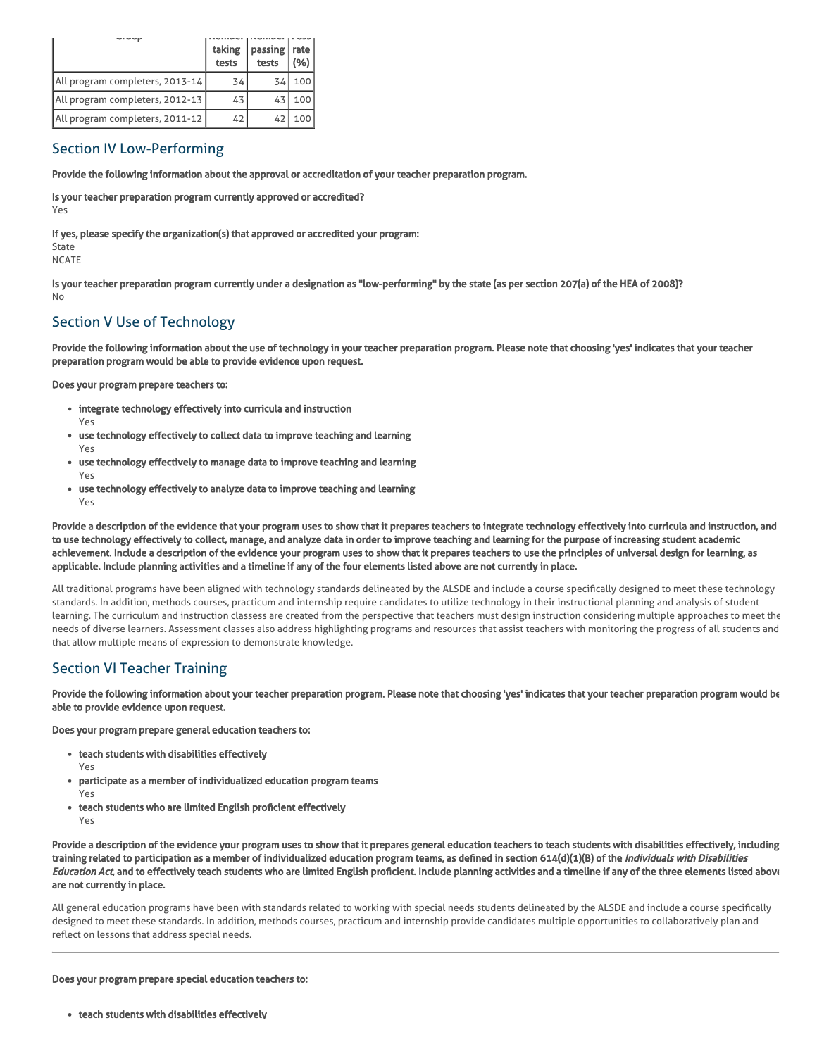|                                 | taking<br>tests | passing   rate<br>tests | (%) |
|---------------------------------|-----------------|-------------------------|-----|
| All program completers, 2013-14 | 34              | 34                      | 100 |
| All program completers, 2012-13 | 43              | 43                      | 100 |
| All program completers, 2011-12 | 42              | 42                      | 100 |

## Section IV Low-Performing

Provide the following information about the approval or accreditation of your teacher preparation program.

Is your teacher preparation program currently approved or accredited? Yes

If yes, please specify the organization(s) that approved or accredited your program:

State NCATE

Is your teacher preparation program currently under a designation as "low-performing" by the state (as per section 207(a) of the HEA of 2008)? No

# Section V Use of Technology

Provide the following information about the use of technology in your teacher preparation program. Please note that choosing 'yes' indicates that your teacher preparation program would be able to provide evidence upon request.

Does your program prepare teachers to:

- integrate technology effectively into curricula and instruction Yes
- use technology effectively to collect data to improve teaching and learning Yes
- use technology effectively to manage data to improve teaching and learning Yes
- use technology effectively to analyze data to improve teaching and learning Yes

Provide a description of the evidence that your program uses to show that it prepares teachers to integrate technology effectively into curricula and instruction, and to use technology effectively to collect, manage, and analyze data in order to improve teaching and learning for the purpose of increasing student academic achievement. Include a description of the evidence your program uses to show that it prepares teachers to use the principles of universal design for learning, as applicable. Include planning activities and a timeline if any of the four elements listed above are not currently in place.

All traditional programs have been aligned with technology standards delineated by the ALSDE and include a course specifically designed to meet these technology standards. In addition, methods courses, practicum and internship require candidates to utilize technology in their instructional planning and analysis of student learning. The curriculum and instruction classess are created from the perspective that teachers must design instruction considering multiple approaches to meet the needs of diverse learners. Assessment classes also address highlighting programs and resources that assist teachers with monitoring the progress of all students and that allow multiple means of expression to demonstrate knowledge.

# Section VI Teacher Training

Provide the following information about your teacher preparation program. Please note that choosing 'yes' indicates that your teacher preparation program would be able to provide evidence upon request.

Does your program prepare general education teachers to:

- teach students with disabilities effectively
	- Yes
- participate as a member of individualized education program teams Yes
- teach students who are limited English proficient effectively Yes

Provide a description of the evidence your program uses to show that it prepares general education teachers to teach students with disabilities effectively, including training related to participation as a member of individualized education program teams, as defined in section 614(d)(1)(B) of the *Individuals with Disabilities* Education Act, and to effectively teach students who are limited English proficient. Include planning activities and a timeline if any of the three elements listed above are not currently in place.

All general education programs have been with standards related to working with special needs students delineated by the ALSDE and include a course specifically designed to meet these standards. In addition, methods courses, practicum and internship provide candidates multiple opportunities to collaboratively plan and reflect on lessons that address special needs.

#### Does your program prepare special education teachers to:

teach students with disabilities effectively